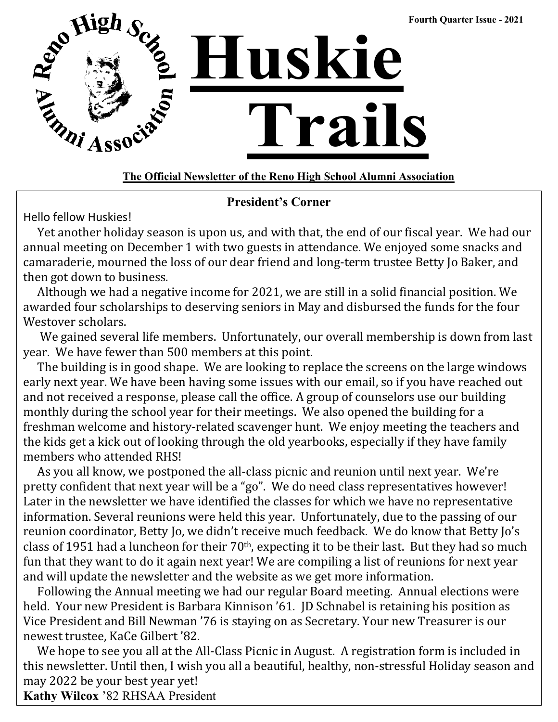

#### **The Official Newsletter of the Reno High School Alumni Association**

#### **President's Corner**

Hello fellow Huskies!

 Yet another holiday season is upon us, and with that, the end of our fiscal year. We had our annual meeting on December 1 with two guests in attendance. We enjoyed some snacks and camaraderie, mourned the loss of our dear friend and long-term trustee Betty Jo Baker, and then got down to business.

 Although we had a negative income for 2021, we are still in a solid financial position. We awarded four scholarships to deserving seniors in May and disbursed the funds for the four Westover scholars.

 We gained several life members. Unfortunately, our overall membership is down from last year. We have fewer than 500 members at this point.

 The building is in good shape. We are looking to replace the screens on the large windows early next year. We have been having some issues with our email, so if you have reached out and not received a response, please call the office. A group of counselors use our building monthly during the school year for their meetings. We also opened the building for a freshman welcome and history-related scavenger hunt. We enjoy meeting the teachers and the kids get a kick out of looking through the old yearbooks, especially if they have family members who attended RHS!

 As you all know, we postponed the all-class picnic and reunion until next year. We're pretty confident that next year will be a "go". We do need class representatives however! Later in the newsletter we have identified the classes for which we have no representative information. Several reunions were held this year. Unfortunately, due to the passing of our reunion coordinator, Betty Jo, we didn't receive much feedback. We do know that Betty Jo's class of 1951 had a luncheon for their  $70<sup>th</sup>$ , expecting it to be their last. But they had so much fun that they want to do it again next year! We are compiling a list of reunions for next year and will update the newsletter and the website as we get more information.

 Following the Annual meeting we had our regular Board meeting. Annual elections were held. Your new President is Barbara Kinnison '61. JD Schnabel is retaining his position as Vice President and Bill Newman '76 is staying on as Secretary. Your new Treasurer is our newest trustee, KaCe Gilbert '82.

 We hope to see you all at the All-Class Picnic in August. A registration form is included in this newsletter. Until then, I wish you all a beautiful, healthy, non-stressful Holiday season and may 2022 be your best year yet!

**Kathy Wilcox** '82 RHSAA President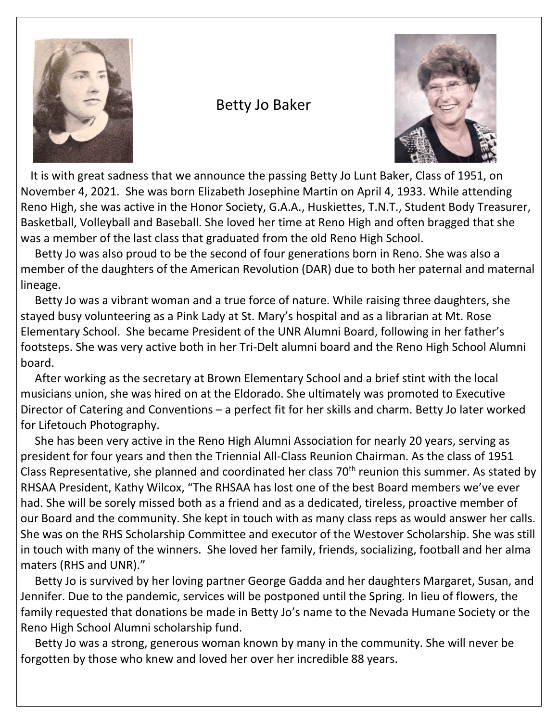

#### Betty Jo Baker



 It is with great sadness that we announce the passing Betty Jo Lunt Baker, Class of 1951, on November 4, 2021. She was born Elizabeth Josephine Martin on April 4, 1933. While attending Reno High, she was active in the Honor Society, G.A.A., Huskiettes, T.N.T., Student Body Treasurer, Basketball, Volleyball and Baseball. She loved her time at Reno High and often bragged that she was a member of the last class that graduated from the old Reno High School.

 Betty Jo was also proud to be the second of four generations born in Reno. She was also a member of the daughters of the American Revolution (DAR) due to both her paternal and maternal lineage.

 Betty Jo was a vibrant woman and a true force of nature. While raising three daughters, she stayed busy volunteering as a Pink Lady at St. Mary's hospital and as a librarian at Mt. Rose Elementary School. She became President of the UNR Alumni Board, following in her father's footsteps. She was very active both in her Tri-Delt alumni board and the Reno High School Alumni board.

 After working as the secretary at Brown Elementary School and a brief stint with the local musicians union, she was hired on at the Eldorado. She ultimately was promoted to Executive Director of Catering and Conventions – a perfect fit for her skills and charm. Betty Jo later worked for Lifetouch Photography.

 She has been very active in the Reno High Alumni Association for nearly 20 years, serving as president for four years and then the Triennial All-Class Reunion Chairman. As the class of 1951 Class Representative, she planned and coordinated her class 70<sup>th</sup> reunion this summer. As stated by RHSAA President, Kathy Wilcox, "The RHSAA has lost one of the best Board members we've ever had. She will be sorely missed both as a friend and as a dedicated, tireless, proactive member of our Board and the community. She kept in touch with as many class reps as would answer her calls. She was on the RHS Scholarship Committee and executor of the Westover Scholarship. She was still in touch with many of the winners. She loved her family, friends, socializing, football and her alma maters (RHS and UNR)."

 Betty Jo is survived by her loving partner George Gadda and her daughters Margaret, Susan, and Jennifer. Due to the pandemic, services will be postponed until the Spring. In lieu of flowers, the family requested that donations be made in Betty Jo's name to the Nevada Humane Society or the Reno High School Alumni scholarship fund.

 Betty Jo was a strong, generous woman known by many in the community. She will never be forgotten by those who knew and loved her over her incredible 88 years.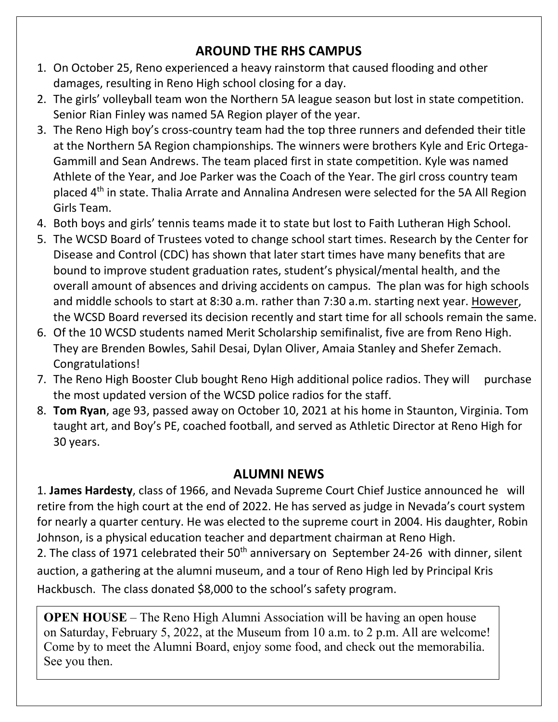#### **AROUND THE RHS CAMPUS**

- 1. On October 25, Reno experienced a heavy rainstorm that caused flooding and other damages, resulting in Reno High school closing for a day.
- 2. The girls' volleyball team won the Northern 5A league season but lost in state competition. Senior Rian Finley was named 5A Region player of the year.
- 3. The Reno High boy's cross-country team had the top three runners and defended their title at the Northern 5A Region championships. The winners were brothers Kyle and Eric Ortega-Gammill and Sean Andrews. The team placed first in state competition. Kyle was named Athlete of the Year, and Joe Parker was the Coach of the Year. The girl cross country team placed  $4<sup>th</sup>$  in state. Thalia Arrate and Annalina Andresen were selected for the 5A All Region Girls Team.
- 4. Both boys and girls' tennis teams made it to state but lost to Faith Lutheran High School.
- 5. The WCSD Board of Trustees voted to change school start times. Research by the Center for Disease and Control (CDC) has shown that later start times have many benefits that are bound to improve student graduation rates, student's physical/mental health, and the overall amount of absences and driving accidents on campus. The plan was for high schools and middle schools to start at 8:30 a.m. rather than 7:30 a.m. starting next year. However, the WCSD Board reversed its decision recently and start time for all schools remain the same.
- 6. Of the 10 WCSD students named Merit Scholarship semifinalist, five are from Reno High. They are Brenden Bowles, Sahil Desai, Dylan Oliver, Amaia Stanley and Shefer Zemach. Congratulations!
- 7. The Reno High Booster Club bought Reno High additional police radios. They will purchase the most updated version of the WCSD police radios for the staff.
- 8. **Tom Ryan**, age 93, passed away on October 10, 2021 at his home in Staunton, Virginia. Tom taught art, and Boy's PE, coached football, and served as Athletic Director at Reno High for 30 years.

#### **ALUMNI NEWS**

1. **James Hardesty**, class of 1966, and Nevada Supreme Court Chief Justice announced he will retire from the high court at the end of 2022. He has served as judge in Nevada's court system for nearly a quarter century. He was elected to the supreme court in 2004. His daughter, Robin Johnson, is a physical education teacher and department chairman at Reno High.

2. The class of 1971 celebrated their 50<sup>th</sup> anniversary on September 24-26 with dinner, silent auction, a gathering at the alumni museum, and a tour of Reno High led by Principal Kris Hackbusch. The class donated \$8,000 to the school's safety program.

**OPEN HOUSE** – The Reno High Alumni Association will be having an open house on Saturday, February 5, 2022, at the Museum from 10 a.m. to 2 p.m. All are welcome! Come by to meet the Alumni Board, enjoy some food, and check out the memorabilia. See you then.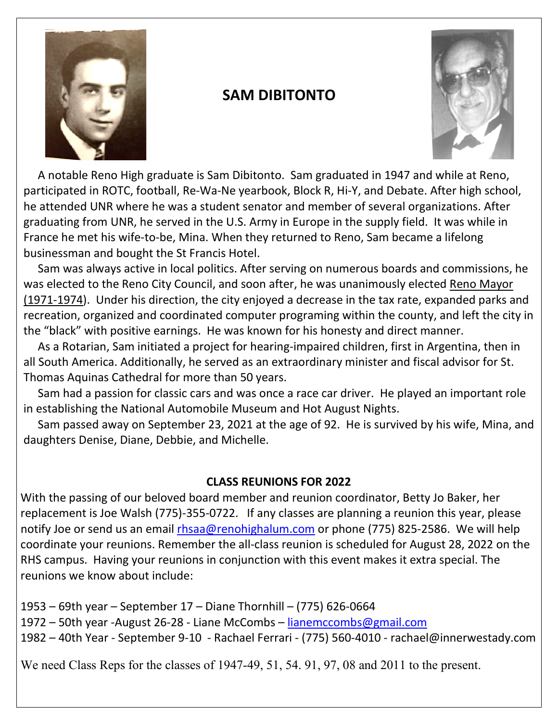

### **SAM DIBITONTO**



 A notable Reno High graduate is Sam Dibitonto. Sam graduated in 1947 and while at Reno, participated in ROTC, football, Re-Wa-Ne yearbook, Block R, Hi-Y, and Debate. After high school, he attended UNR where he was a student senator and member of several organizations. After graduating from UNR, he served in the U.S. Army in Europe in the supply field. It was while in France he met his wife-to-be, Mina. When they returned to Reno, Sam became a lifelong businessman and bought the St Francis Hotel.

 Sam was always active in local politics. After serving on numerous boards and commissions, he was elected to the Reno City Council, and soon after, he was unanimously elected Reno Mayor (1971-1974). Under his direction, the city enjoyed a decrease in the tax rate, expanded parks and recreation, organized and coordinated computer programing within the county, and left the city in the "black" with positive earnings. He was known for his honesty and direct manner.

 As a Rotarian, Sam initiated a project for hearing-impaired children, first in Argentina, then in all South America. Additionally, he served as an extraordinary minister and fiscal advisor for St. Thomas Aquinas Cathedral for more than 50 years.

 Sam had a passion for classic cars and was once a race car driver. He played an important role in establishing the National Automobile Museum and Hot August Nights.

 Sam passed away on September 23, 2021 at the age of 92. He is survived by his wife, Mina, and daughters Denise, Diane, Debbie, and Michelle.

#### **CLASS REUNIONS FOR 2022**

With the passing of our beloved board member and reunion coordinator, Betty Jo Baker, her replacement is Joe Walsh (775)-355-0722. If any classes are planning a reunion this year, please notify Joe or send us an email [rhsaa@renohighalum.com](mailto:rhsaa@renohighalum.com) or phone (775) 825-2586. We will help coordinate your reunions. Remember the all-class reunion is scheduled for August 28, 2022 on the RHS campus. Having your reunions in conjunction with this event makes it extra special. The reunions we know about include:

1953 – 69th year – September 17 – Diane Thornhill – (775) 626-0664 1972 – 50th year -August 26-28 - Liane McCombs – [lianemccombs@gmail.com](mailto:lianemccombs@gmail.com) 1982 – 40th Year - September 9-10 - Rachael Ferrari - (775) 560-4010 - rachael@innerwestady.com

We need Class Reps for the classes of 1947-49, 51, 54. 91, 97, 08 and 2011 to the present.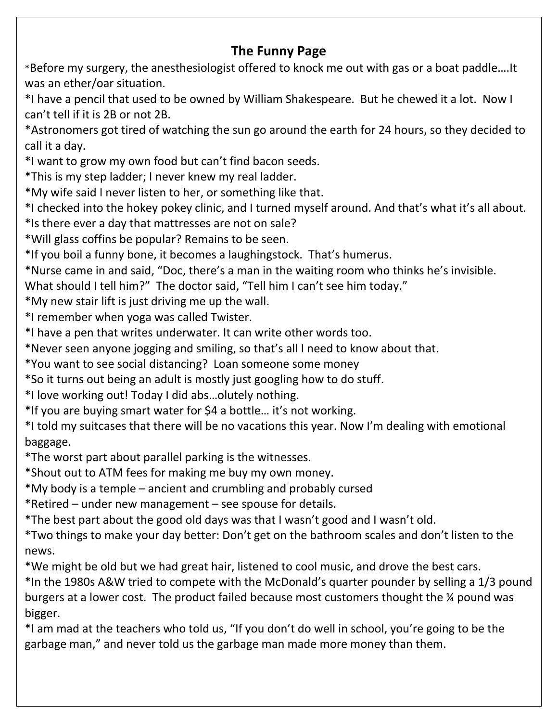#### **The Funny Page**

\*Before my surgery, the anesthesiologist offered to knock me out with gas or a boat paddle….It was an ether/oar situation.

\*I have a pencil that used to be owned by William Shakespeare. But he chewed it a lot. Now I can't tell if it is 2B or not 2B.

\*Astronomers got tired of watching the sun go around the earth for 24 hours, so they decided to call it a day.

\*I want to grow my own food but can't find bacon seeds.

\*This is my step ladder; I never knew my real ladder.

\*My wife said I never listen to her, or something like that.

\*I checked into the hokey pokey clinic, and I turned myself around. And that's what it's all about.

\*Is there ever a day that mattresses are not on sale?

\*Will glass coffins be popular? Remains to be seen.

\*If you boil a funny bone, it becomes a laughingstock. That's humerus.

\*Nurse came in and said, "Doc, there's a man in the waiting room who thinks he's invisible.

What should I tell him?" The doctor said, "Tell him I can't see him today."

\*My new stair lift is just driving me up the wall.

\*I remember when yoga was called Twister.

\*I have a pen that writes underwater. It can write other words too.

\*Never seen anyone jogging and smiling, so that's all I need to know about that.

\*You want to see social distancing? Loan someone some money

\*So it turns out being an adult is mostly just googling how to do stuff.

\*I love working out! Today I did abs…olutely nothing.

\*If you are buying smart water for \$4 a bottle… it's not working.

\*I told my suitcases that there will be no vacations this year. Now I'm dealing with emotional baggage.

\*The worst part about parallel parking is the witnesses.

\*Shout out to ATM fees for making me buy my own money.

\*My body is a temple – ancient and crumbling and probably cursed

\*Retired – under new management – see spouse for details.

\*The best part about the good old days was that I wasn't good and I wasn't old.

\*Two things to make your day better: Don't get on the bathroom scales and don't listen to the news.

\*We might be old but we had great hair, listened to cool music, and drove the best cars.

\*In the 1980s A&W tried to compete with the McDonald's quarter pounder by selling a 1/3 pound burgers at a lower cost. The product failed because most customers thought the ¼ pound was bigger.

\*I am mad at the teachers who told us, "If you don't do well in school, you're going to be the garbage man," and never told us the garbage man made more money than them.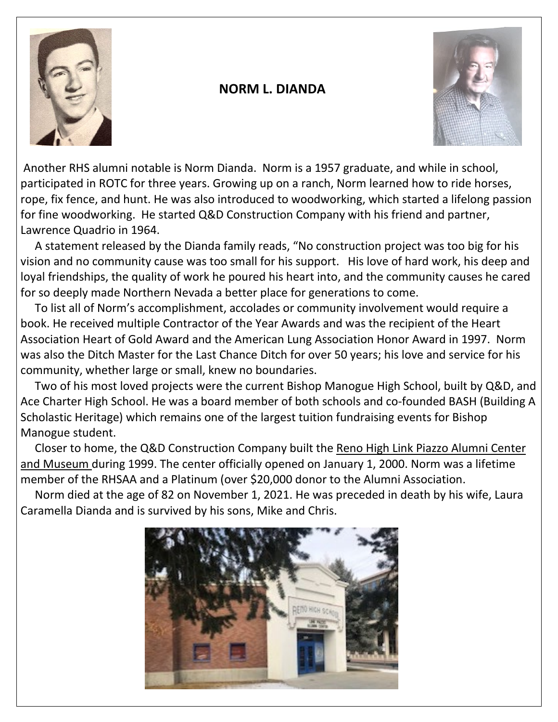

#### **NORM L. DIANDA**



Another RHS alumni notable is Norm Dianda. Norm is a 1957 graduate, and while in school, participated in ROTC for three years. Growing up on a ranch, Norm learned how to ride horses, rope, fix fence, and hunt. He was also introduced to woodworking, which started a lifelong passion for fine woodworking. He started Q&D Construction Company with his friend and partner, Lawrence Quadrio in 1964.

 A statement released by the Dianda family reads, "No construction project was too big for his vision and no community cause was too small for his support. His love of hard work, his deep and loyal friendships, the quality of work he poured his heart into, and the community causes he cared for so deeply made Northern Nevada a better place for generations to come.

 To list all of Norm's accomplishment, accolades or community involvement would require a book. He received multiple Contractor of the Year Awards and was the recipient of the Heart Association Heart of Gold Award and the American Lung Association Honor Award in 1997. Norm was also the Ditch Master for the Last Chance Ditch for over 50 years; his love and service for his community, whether large or small, knew no boundaries.

 Two of his most loved projects were the current Bishop Manogue High School, built by Q&D, and Ace Charter High School. He was a board member of both schools and co-founded BASH (Building A Scholastic Heritage) which remains one of the largest tuition fundraising events for Bishop Manogue student.

 Closer to home, the Q&D Construction Company built the Reno High Link Piazzo Alumni Center and Museum during 1999. The center officially opened on January 1, 2000. Norm was a lifetime member of the RHSAA and a Platinum (over \$20,000 donor to the Alumni Association.

 Norm died at the age of 82 on November 1, 2021. He was preceded in death by his wife, Laura Caramella Dianda and is survived by his sons, Mike and Chris.

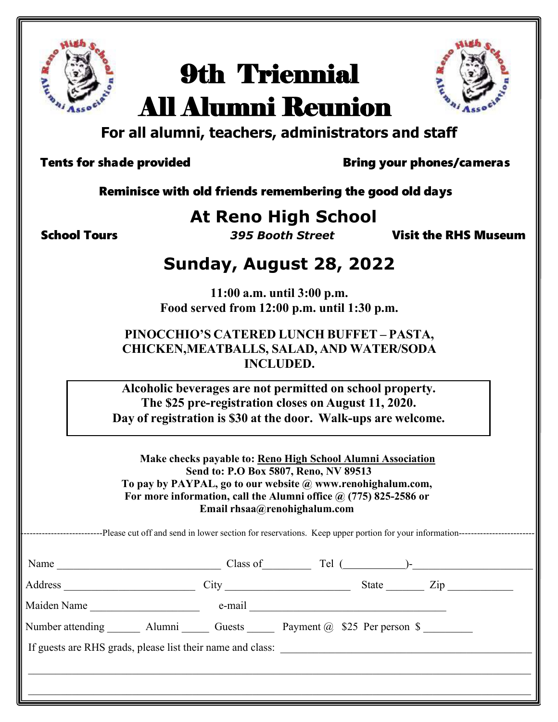

# 9th Triennial All Alumni Reunion



# **For all alumni, teachers, administrators and staff**

Tents for shade provided Tents of Bring your phones/cameras

Reminisce with old friends remembering the good old days

# **At Reno High School**

School Tours *395 Booth Street* Visit the RHS Museum

## **Sunday, August 28, 2022**

**11:00 a.m. until 3:00 p.m. Food served from 12:00 p.m. until 1:30 p.m.**

#### **PINOCCHIO'S CATERED LUNCH BUFFET – PASTA, CHICKEN,MEATBALLS, SALAD, AND WATER/SODA INCLUDED.**

**Alcoholic beverages are not permitted on school property. The \$25 pre-registration closes on August 11, 2020. Day of registration is \$30 at the door. Walk-ups are welcome.**

**Make checks payable to: Reno High School Alumni Association Send to: P.O Box 5807, Reno, NV 89513 To pay by PAYPAL, go to our website @ [www.renohighalum.com,](http://www.renohighalum.com/) For more information, call the Alumni office @ (775) 825-2586 or Email [rhsaa@renohighalum.com](mailto:rhsaa@renohighalum.com)**